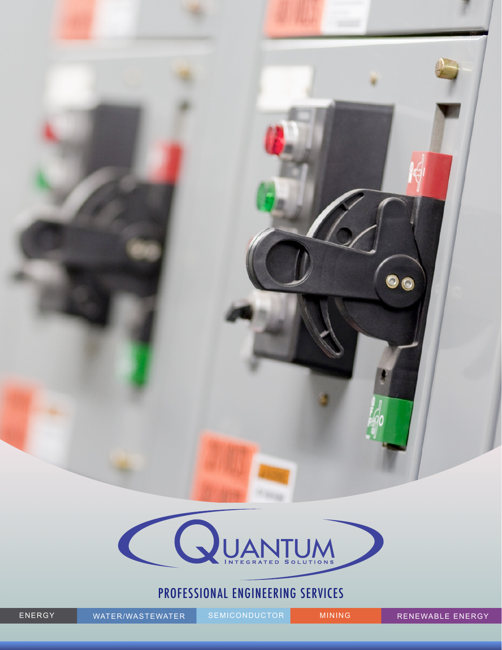

# PROFESSIONAL ENGINEERING SERVICES

ENERGY WATER/WASTEWATER SEMICONDUCTOR MINING RENEWABLE ENERGY

 $\bullet$